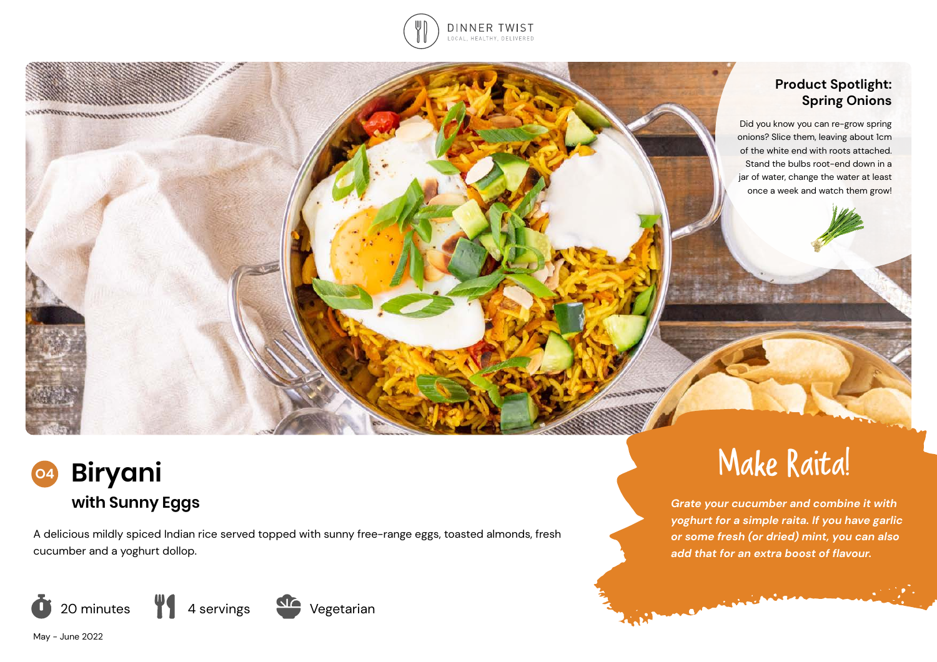

# **Product Spotlight: Spring Onions**

Did you know you can re-grow spring onions? Slice them, leaving about 1cm of the white end with roots attached. Stand the bulbs root-end down in a jar of water, change the water at least once a week and watch them grow!



<u>rranmaranamanaranan</u>

A delicious mildly spiced Indian rice served topped with sunny free-range eggs, toasted almonds, fresh cucumber and a yoghurt dollop.







**MANAGER** 

*Grate your cucumber and combine it with yoghurt for a simple raita. If you have garlic or some fresh (or dried) mint, you can also add that for an extra boost of flavour.* 

**COMMERCIAL COMMERCIAL** 

May - June 2022